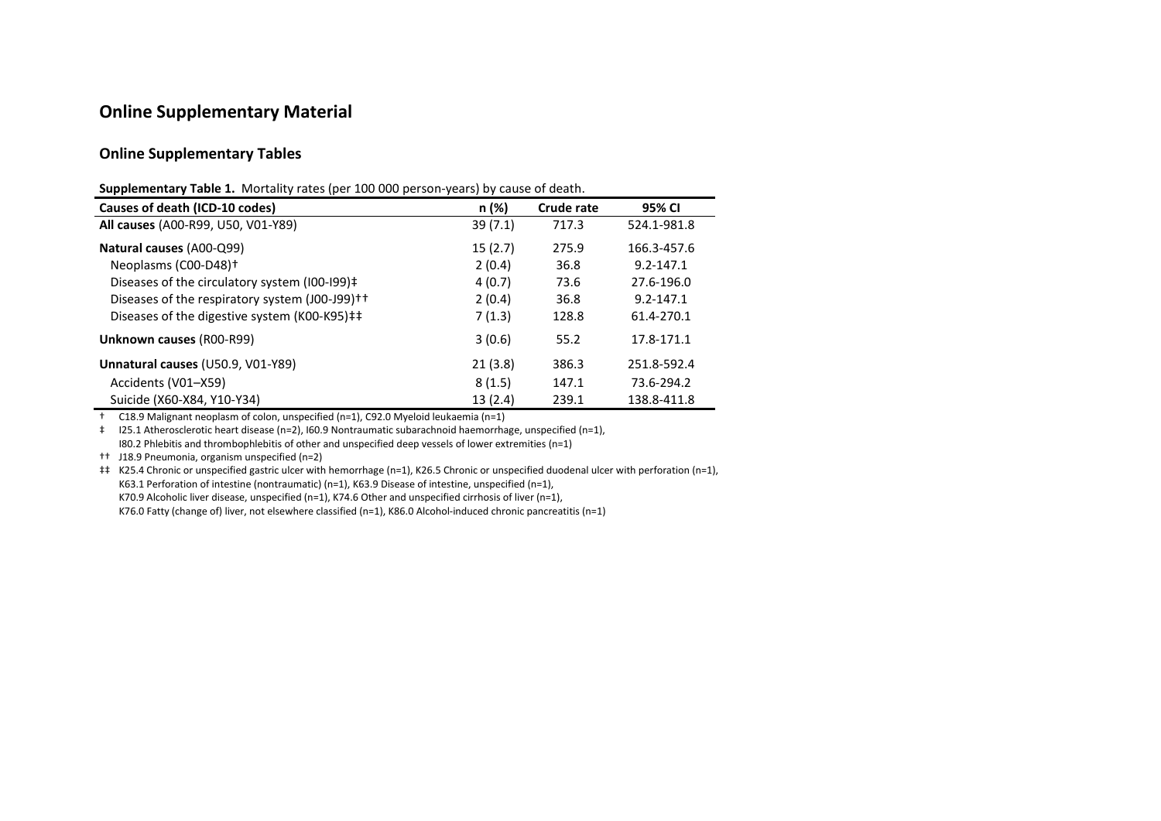## **Online Supplementary Material**

## **Online Supplementary Tables**

| Supplementary Table 1. Mortality rates (per 100 000 person-years) by cause of death. |  |  |  |  |
|--------------------------------------------------------------------------------------|--|--|--|--|
|--------------------------------------------------------------------------------------|--|--|--|--|

| Causes of death (ICD-10 codes)                 | n (%)   | Crude rate | 95% CI        |
|------------------------------------------------|---------|------------|---------------|
| All causes (A00-R99, U50, V01-Y89)             | 39(7.1) | 717.3      | 524.1-981.8   |
| Natural causes (A00-Q99)                       | 15(2.7) | 275.9      | 166.3-457.6   |
| Neoplasms (C00-D48) <sup>+</sup>               | 2(0.4)  | 36.8       | $9.2 - 147.1$ |
| Diseases of the circulatory system (I00-I99)‡  | 4(0.7)  | 73.6       | 27.6-196.0    |
| Diseases of the respiratory system (J00-J99)++ | 2(0.4)  | 36.8       | $9.2 - 147.1$ |
| Diseases of the digestive system (K00-K95)##   | 7(1.3)  | 128.8      | 61.4-270.1    |
| <b>Unknown causes (R00-R99)</b>                | 3(0.6)  | 55.2       | 17.8-171.1    |
| Unnatural causes (U50.9, V01-Y89)              | 21(3.8) | 386.3      | 251.8-592.4   |
| Accidents (V01-X59)                            | 8(1.5)  | 147.1      | 73.6-294.2    |
| Suicide (X60-X84, Y10-Y34)                     | 13(2.4) | 239.1      | 138.8-411.8   |

† C18.9 Malignant neoplasm of colon, unspecified (n=1), C92.0 Myeloid leukaemia (n=1)

‡ I25.1 Atherosclerotic heart disease (n=2), I60.9 Nontraumatic subarachnoid haemorrhage, unspecified (n=1), I80.2 Phlebitis and thrombophlebitis of other and unspecified deep vessels of lower extremities (n=1)

†† J18.9 Pneumonia, organism unspecified (n=2)

‡‡ K25.4 Chronic or unspecified gastric ulcer with hemorrhage (n=1), K26.5 Chronic or unspecified duodenal ulcer with perforation (n=1), K63.1 Perforation of intestine (nontraumatic) (n=1), K63.9 Disease of intestine, unspecified (n=1), K70.9 Alcoholic liver disease, unspecified (n=1), K74.6 Other and unspecified cirrhosis of liver (n=1), K76.0 Fatty (change of) liver, not elsewhere classified (n=1), K86.0 Alcohol-induced chronic pancreatitis (n=1)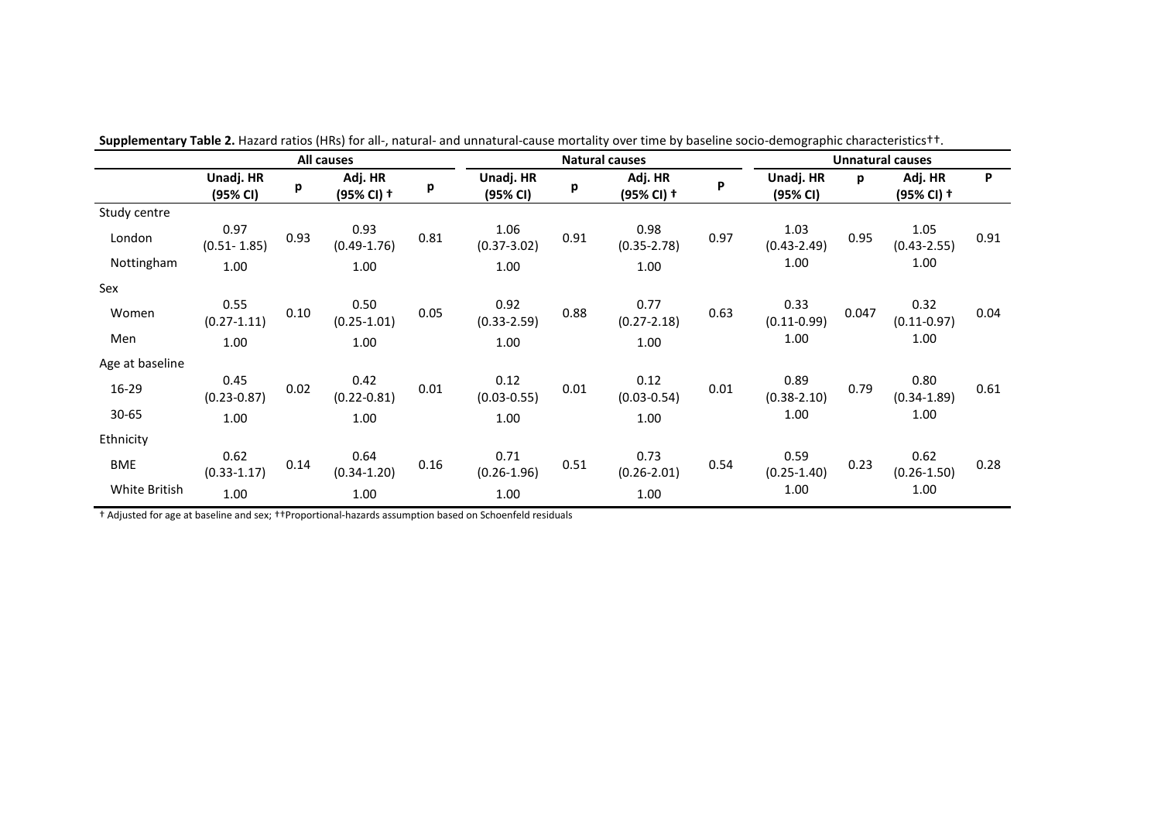|                 |                         |      | All causes              |      |                         |      | <b>Natural causes</b>   | <b>Unnatural causes</b> |                         |       |                         |      |
|-----------------|-------------------------|------|-------------------------|------|-------------------------|------|-------------------------|-------------------------|-------------------------|-------|-------------------------|------|
|                 | Unadj. HR<br>(95% CI)   | p    | Adj. HR<br>(95% CI) +   | р    | Unadj. HR<br>(95% CI)   | р    | Adj. HR<br>(95% CI) +   | P                       | Unadj. HR<br>(95% CI)   | p     | Adj. HR<br>(95% CI) +   | P    |
| Study centre    |                         |      |                         |      |                         |      |                         |                         |                         |       |                         |      |
| London          | 0.97<br>$(0.51 - 1.85)$ | 0.93 | 0.93<br>$(0.49 - 1.76)$ | 0.81 | 1.06<br>$(0.37 - 3.02)$ | 0.91 | 0.98<br>$(0.35 - 2.78)$ | 0.97                    | 1.03<br>$(0.43 - 2.49)$ | 0.95  | 1.05<br>$(0.43 - 2.55)$ | 0.91 |
| Nottingham      | 1.00                    |      | 1.00                    |      | 1.00                    |      | 1.00                    |                         | 1.00                    |       | 1.00                    |      |
| Sex             |                         |      |                         |      |                         |      |                         |                         |                         |       |                         |      |
| Women           | 0.55<br>$(0.27 - 1.11)$ | 0.10 | 0.50<br>$(0.25 - 1.01)$ | 0.05 | 0.92<br>$(0.33 - 2.59)$ | 0.88 | 0.77<br>$(0.27 - 2.18)$ | 0.63                    | 0.33<br>$(0.11 - 0.99)$ | 0.047 | 0.32<br>$(0.11 - 0.97)$ | 0.04 |
| Men             | 1.00                    |      | 1.00                    |      | 1.00                    |      | 1.00                    |                         | 1.00                    |       | 1.00                    |      |
| Age at baseline |                         |      |                         |      |                         |      |                         |                         |                         |       |                         |      |
| 16-29           | 0.45<br>$(0.23 - 0.87)$ | 0.02 | 0.42<br>$(0.22 - 0.81)$ | 0.01 | 0.12<br>$(0.03 - 0.55)$ | 0.01 | 0.12<br>$(0.03 - 0.54)$ | 0.01                    | 0.89<br>$(0.38 - 2.10)$ | 0.79  | 0.80<br>$(0.34 - 1.89)$ | 0.61 |
| 30-65           | 1.00                    |      | 1.00                    |      | 1.00                    |      | 1.00                    |                         | 1.00                    |       | 1.00                    |      |
| Ethnicity       |                         |      |                         |      |                         |      |                         |                         |                         |       |                         |      |
| BME             | 0.62<br>$(0.33 - 1.17)$ | 0.14 | 0.64<br>$(0.34 - 1.20)$ | 0.16 | 0.71<br>$(0.26 - 1.96)$ | 0.51 | 0.73<br>$(0.26 - 2.01)$ | 0.54                    | 0.59<br>$(0.25 - 1.40)$ | 0.23  | 0.62<br>$(0.26 - 1.50)$ | 0.28 |
| White British   | 1.00                    |      | 1.00                    |      | 1.00                    |      | 1.00                    |                         | 1.00                    |       | 1.00                    |      |

† Adjusted for age at baseline and sex; ††Proportional-hazards assumption based on Schoenfeld residuals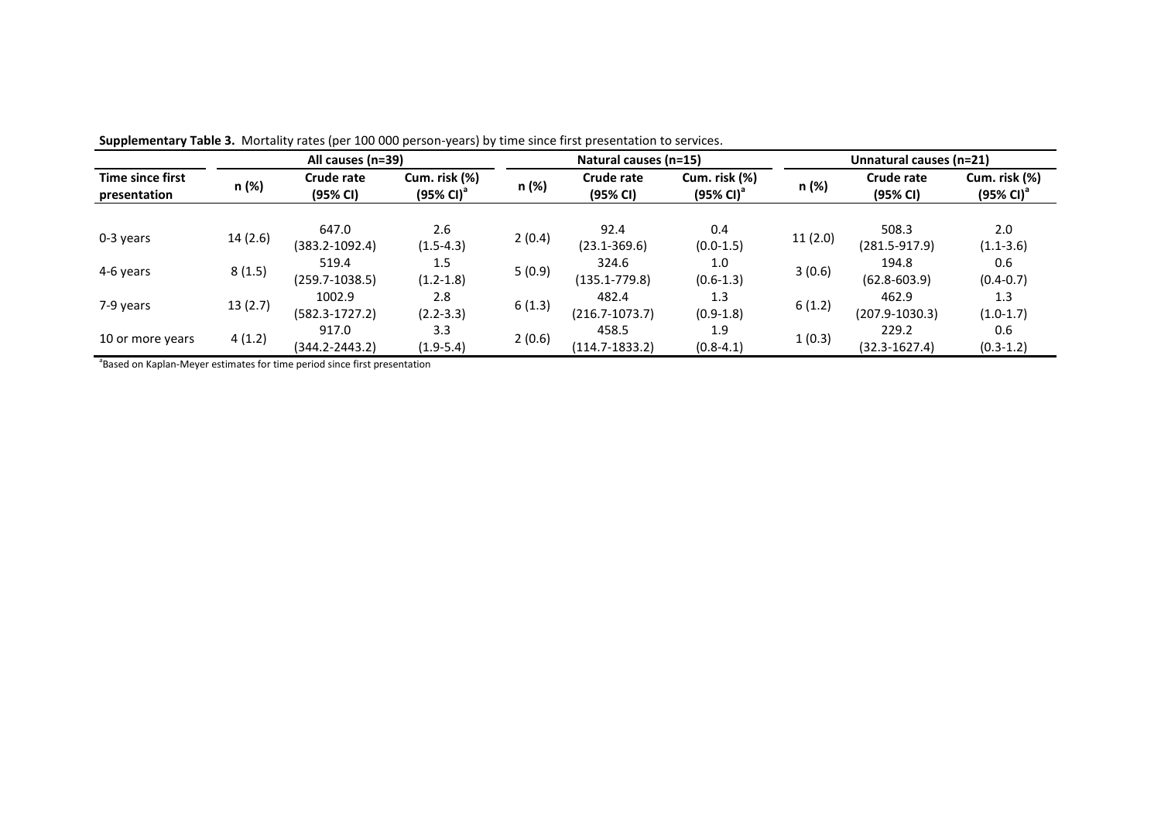|                                         |         | All causes (n=39)            |                                        |        | Natural causes (n=15)       |                                        | Unnatural causes (n=21) |                             |                                        |  |  |
|-----------------------------------------|---------|------------------------------|----------------------------------------|--------|-----------------------------|----------------------------------------|-------------------------|-----------------------------|----------------------------------------|--|--|
| <b>Time since first</b><br>presentation | n (%)   | Crude rate<br>(95% CI)       | Cum. risk (%)<br>$(95\% \text{ Cl})^3$ | n (%)  | Crude rate<br>(95% CI)      | Cum. risk (%)<br>$(95\% \text{ Cl})^3$ | n (%)                   | Crude rate<br>(95% CI)      | Cum. risk (%)<br>(95% CI) <sup>a</sup> |  |  |
| 0-3 years                               | 14(2.6) | 647.0<br>$(383.2 - 1092.4)$  | 2.6<br>$(1.5-4.3)$                     | 2(0.4) | 92.4<br>$(23.1 - 369.6)$    | 0.4<br>$(0.0-1.5)$                     | 11(2.0)                 | 508.3<br>$(281.5 - 917.9)$  | 2.0<br>$(1.1 - 3.6)$                   |  |  |
| 4-6 years                               | 8(1.5)  | 519.4<br>$(259.7 - 1038.5)$  | 1.5<br>$(1.2 - 1.8)$                   | 5(0.9) | 324.6<br>(135.1-779.8)      | 1.0<br>$(0.6-1.3)$                     | 3(0.6)                  | 194.8<br>$(62.8 - 603.9)$   | 0.6<br>$(0.4 - 0.7)$                   |  |  |
| 7-9 years                               | 13(2.7) | 1002.9<br>$(582.3 - 1727.2)$ | 2.8<br>$(2.2 - 3.3)$                   | 6(1.3) | 482.4<br>$(216.7 - 1073.7)$ | 1.3<br>$(0.9-1.8)$                     | 6(1.2)                  | 462.9<br>$(207.9 - 1030.3)$ | 1.3<br>$(1.0-1.7)$                     |  |  |
| 10 or more years                        | 4(1.2)  | 917.0<br>(344.2-2443.2)      | 3.3<br>$(1.9-5.4)$                     | 2(0.6) | 458.5<br>$(114.7 - 1833.2)$ | 1.9<br>$(0.8 - 4.1)$                   | 1(0.3)                  | 229.2<br>$(32.3 - 1627.4)$  | 0.6<br>$(0.3 - 1.2)$                   |  |  |

**Supplementary Table 3.** Mortality rates (per 100 000 person-years) by time since first presentation to services.

<sup>a</sup>Based on Kaplan-Meyer estimates for time period since first presentation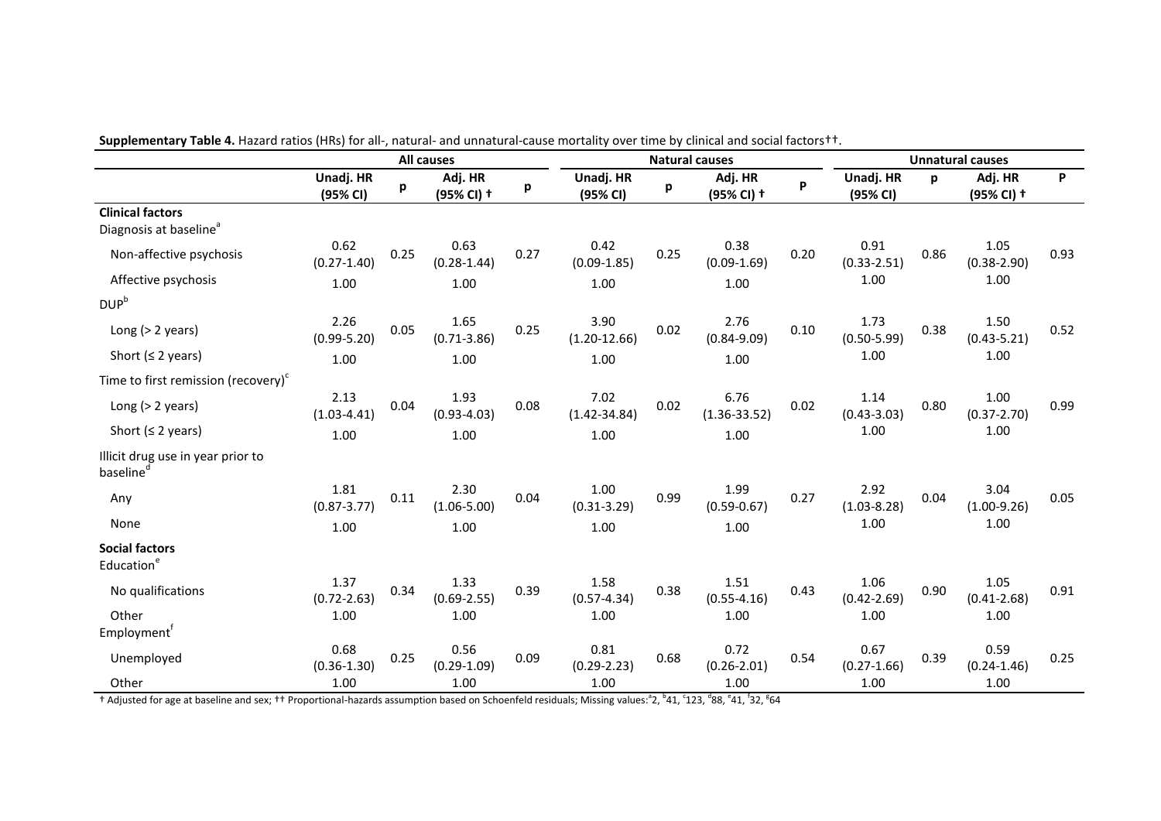|                                                               |                         |      | <b>All causes</b>       |      |                          | <b>Natural causes</b> |                          | <b>Unnatural causes</b> |                         |      |                         |      |
|---------------------------------------------------------------|-------------------------|------|-------------------------|------|--------------------------|-----------------------|--------------------------|-------------------------|-------------------------|------|-------------------------|------|
|                                                               | Unadj. HR<br>(95% CI)   | р    | Adj. HR<br>(95% CI) +   | p    | Unadj. HR<br>(95% CI)    | p                     | Adj. HR<br>(95% CI) +    | P                       | Unadj. HR<br>(95% CI)   | p    | Adj. HR<br>(95% CI) +   | P    |
| <b>Clinical factors</b><br>Diagnosis at baseline <sup>a</sup> |                         |      |                         |      |                          |                       |                          |                         |                         |      |                         |      |
| Non-affective psychosis                                       | 0.62<br>$(0.27 - 1.40)$ | 0.25 | 0.63<br>$(0.28 - 1.44)$ | 0.27 | 0.42<br>$(0.09 - 1.85)$  | 0.25                  | 0.38<br>$(0.09 - 1.69)$  | 0.20                    | 0.91<br>$(0.33 - 2.51)$ | 0.86 | 1.05<br>$(0.38 - 2.90)$ | 0.93 |
| Affective psychosis                                           | 1.00                    |      | 1.00                    |      | 1.00                     |                       | 1.00                     |                         | 1.00                    |      | 1.00                    |      |
| $DUP^b$                                                       |                         |      |                         |      |                          |                       |                          |                         |                         |      |                         |      |
| Long $(> 2$ years)                                            | 2.26<br>$(0.99 - 5.20)$ | 0.05 | 1.65<br>$(0.71 - 3.86)$ | 0.25 | 3.90<br>$(1.20 - 12.66)$ | 0.02                  | 2.76<br>$(0.84 - 9.09)$  | 0.10                    | 1.73<br>$(0.50 - 5.99)$ | 0.38 | 1.50<br>$(0.43 - 5.21)$ | 0.52 |
| Short ( $\leq$ 2 years)                                       | 1.00                    |      | 1.00                    |      | 1.00                     |                       | 1.00                     |                         | 1.00                    |      | 1.00                    |      |
| Time to first remission (recovery) <sup>c</sup>               |                         |      |                         |      |                          |                       |                          |                         |                         |      |                         |      |
| Long $(> 2$ years)                                            | 2.13<br>$(1.03 - 4.41)$ | 0.04 | 1.93<br>$(0.93 - 4.03)$ | 0.08 | 7.02<br>$(1.42 - 34.84)$ | 0.02                  | 6.76<br>$(1.36 - 33.52)$ | 0.02                    | 1.14<br>$(0.43 - 3.03)$ | 0.80 | 1.00<br>$(0.37 - 2.70)$ | 0.99 |
| Short ( $\leq$ 2 years)                                       | 1.00                    |      | 1.00                    |      | 1.00                     |                       | 1.00                     |                         | 1.00                    |      | 1.00                    |      |
| Illicit drug use in year prior to<br>baseline <sup>d</sup>    |                         |      |                         |      |                          |                       |                          |                         |                         |      |                         |      |
| Any                                                           | 1.81<br>$(0.87 - 3.77)$ | 0.11 | 2.30<br>$(1.06 - 5.00)$ | 0.04 | 1.00<br>$(0.31 - 3.29)$  | 0.99                  | 1.99<br>$(0.59 - 0.67)$  | 0.27                    | 2.92<br>$(1.03 - 8.28)$ | 0.04 | 3.04<br>$(1.00-9.26)$   | 0.05 |
| None                                                          | 1.00                    |      | 1.00                    |      | 1.00                     |                       | 1.00                     |                         | 1.00                    |      | 1.00                    |      |
| <b>Social factors</b><br>Education <sup>e</sup>               |                         |      |                         |      |                          |                       |                          |                         |                         |      |                         |      |
| No qualifications                                             | 1.37<br>$(0.72 - 2.63)$ | 0.34 | 1.33<br>$(0.69 - 2.55)$ | 0.39 | 1.58<br>$(0.57 - 4.34)$  | 0.38                  | 1.51<br>$(0.55 - 4.16)$  | 0.43                    | 1.06<br>$(0.42 - 2.69)$ | 0.90 | 1.05<br>$(0.41 - 2.68)$ | 0.91 |
| Other<br>Employment <sup>†</sup>                              | 1.00                    |      | 1.00                    |      | 1.00                     |                       | 1.00                     |                         | 1.00                    |      | 1.00                    |      |
| Unemployed                                                    | 0.68<br>$(0.36 - 1.30)$ | 0.25 | 0.56<br>$(0.29 - 1.09)$ | 0.09 | 0.81<br>$(0.29 - 2.23)$  | 0.68                  | 0.72<br>$(0.26 - 2.01)$  | 0.54                    | 0.67<br>$(0.27 - 1.66)$ | 0.39 | 0.59<br>$(0.24 - 1.46)$ | 0.25 |
| Other                                                         | 1.00                    |      | 1.00                    |      | 1.00                     |                       | 1.00                     |                         | 1.00                    |      | 1.00                    |      |

**Supplementary Table 4.** Hazard ratios (HRs) for all-, natural- and unnatural-cause mortality over time by clinical and social factors††.

† Adjusted for age at baseline and sex; †† Proportional-hazards assumption based on Schoenfeld residuals; Missing values: ${}^{3}2$ ,  ${}^{5}41$ ,  ${}^{6}23$ ,  ${}^{6}88$ ,  ${}^{6}41$ ,  ${}^{5}32$ ,  ${}^{6}64$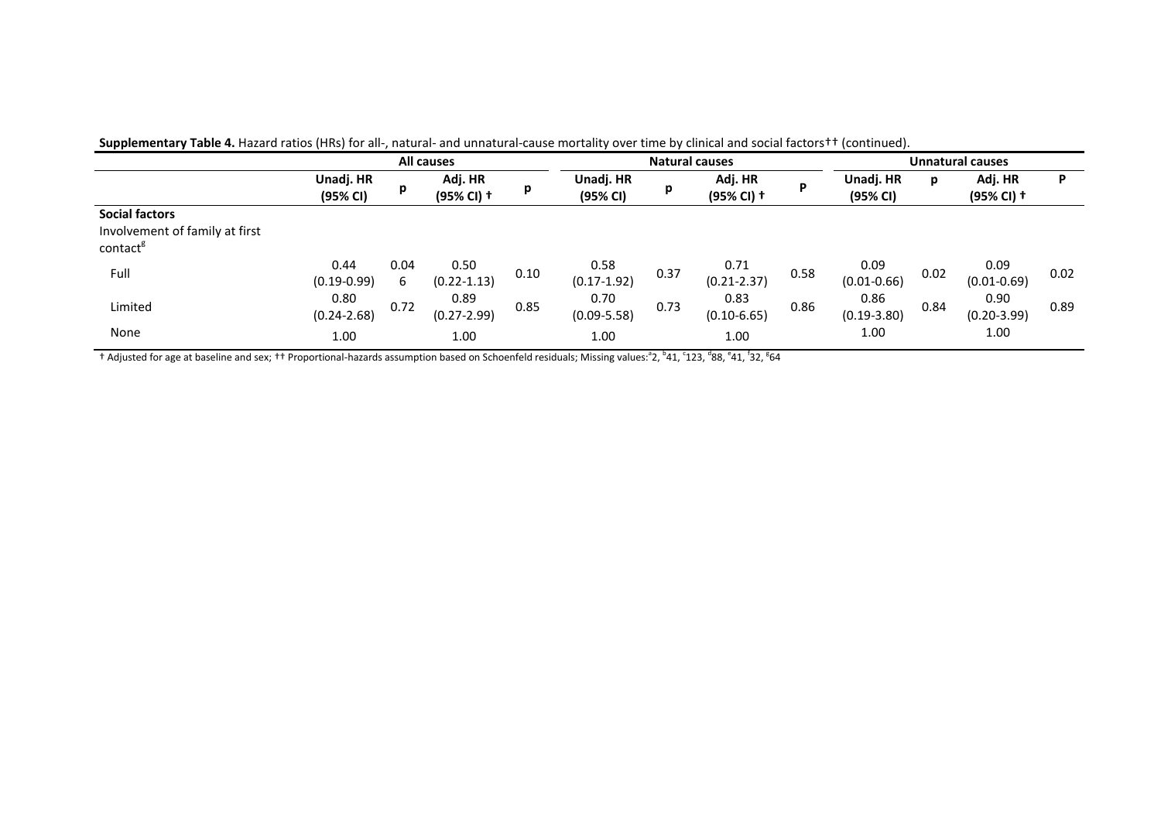| .                                                      |                         |           |                         |      |                         |                       |                         |      |                         |      |                         |      |
|--------------------------------------------------------|-------------------------|-----------|-------------------------|------|-------------------------|-----------------------|-------------------------|------|-------------------------|------|-------------------------|------|
|                                                        | All causes              |           |                         |      |                         | <b>Natural causes</b> | Unnatural causes        |      |                         |      |                         |      |
|                                                        | Unadj. HR<br>(95% CI)   | р         | Adj. HR<br>(95% CI) +   | p    | Unadj. HR<br>(95% CI)   | p                     | Adj. HR<br>(95% CI) +   | P    | Unadj. HR<br>(95% CI)   | р    | Adj. HR<br>(95% CI) +   | P    |
| <b>Social factors</b>                                  |                         |           |                         |      |                         |                       |                         |      |                         |      |                         |      |
| Involvement of family at first<br>contact <sup>g</sup> |                         |           |                         |      |                         |                       |                         |      |                         |      |                         |      |
| Full                                                   | 0.44<br>$(0.19 - 0.99)$ | 0.04<br>6 | 0.50<br>$(0.22 - 1.13)$ | 0.10 | 0.58<br>$(0.17 - 1.92)$ | 0.37                  | 0.71<br>$(0.21 - 2.37)$ | 0.58 | 0.09<br>$(0.01 - 0.66)$ | 0.02 | 0.09<br>$(0.01 - 0.69)$ | 0.02 |
| Limited                                                | 0.80<br>$(0.24 - 2.68)$ | 0.72      | 0.89<br>$(0.27 - 2.99)$ | 0.85 | 0.70<br>$(0.09 - 5.58)$ | 0.73                  | 0.83<br>$(0.10 - 6.65)$ | 0.86 | 0.86<br>$(0.19 - 3.80)$ | 0.84 | 0.90<br>$(0.20 - 3.99)$ | 0.89 |
| None                                                   | 1.00                    |           | 1.00                    |      | 1.00                    |                       | 1.00                    |      | 1.00                    |      | 1.00                    |      |

Supplementary Table 4. Hazard ratios (HRs) for all-, natural- and unnatural-cause mortality over time by clinical and social factors <sup>††</sup> (continued).

† Adjusted for age at baseline and sex; †† Proportional-hazards assumption based on Schoenfeld residuals; Missing values: $^{\rm a}$ 2,  $^{\rm b}$ 41,  $^{\rm f}$ 12,  $^{\rm d}$ 88,  $^{\rm e}$ 41,  $^{\rm f}$ 32,  $^{\rm g}$ 64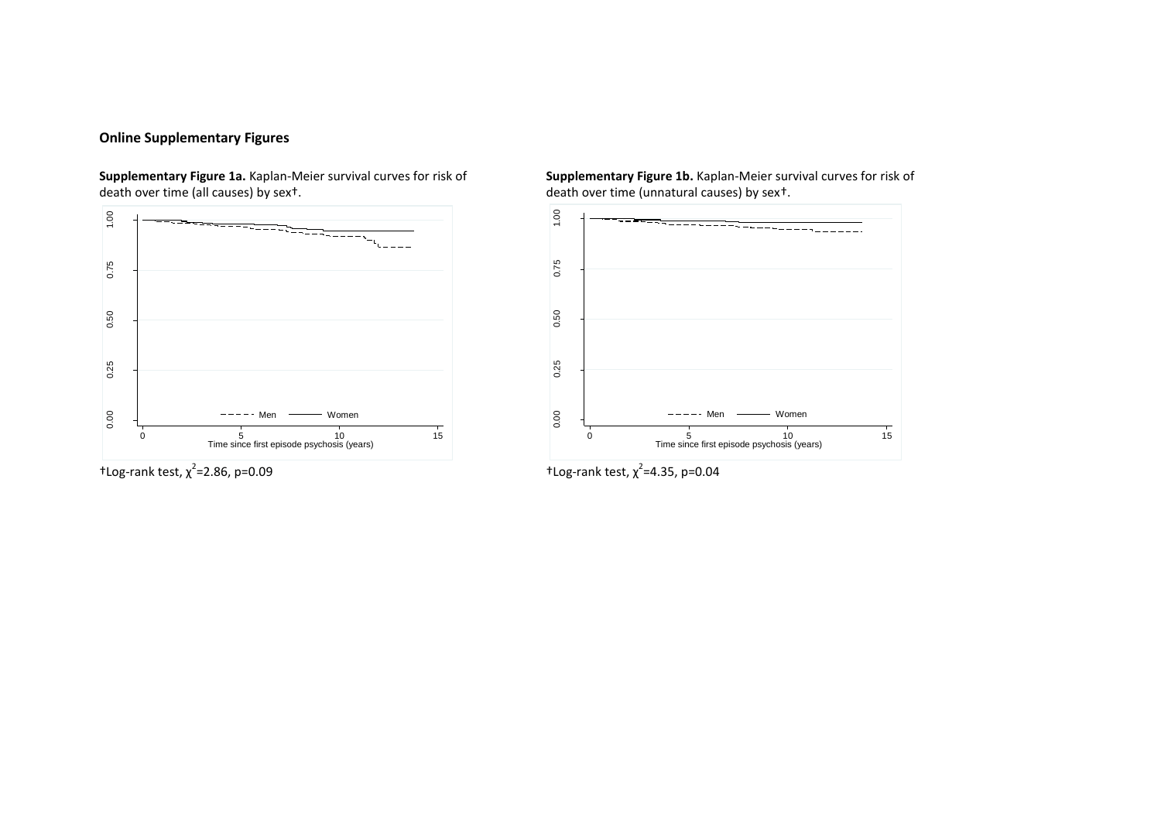## **Online Supplementary Figures**

**Supplementary Figure 1a.** Kaplan-Meier survival curves for risk of **Supplementary Figure 1b.** Kaplan-Meier survival curves for risk of death over time (unnatural causes) by sex<sup>t</sup>.



 $\dagger$ Log-rank test,  $\chi^2$ =2.86, p=0.09

death over time (unnatural causes) by sex<sup>†</sup>.



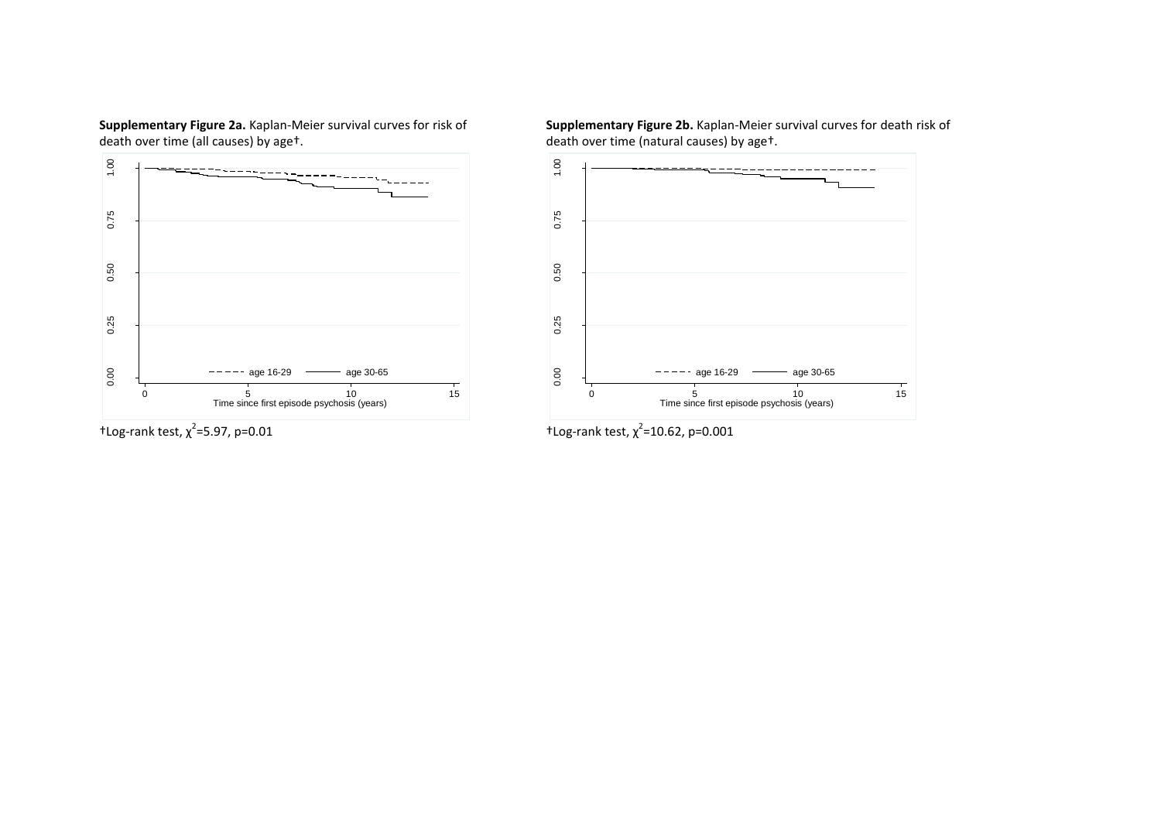

 $\dagger$ Log-rank test,  $\chi^2$ =5.97, p=0.01

**Supplementary Figure 2a.** Kaplan-Meier survival curves for risk of **Supplementary Figure 2b.** Kaplan-Meier survival curves for death risk of death over time (natural causes) by age<sup>t</sup>. death over time (natural causes) by aget.



=5.97, p=0.01 **t** Log-rank test,  $\chi^2$ =10.62, p=0.001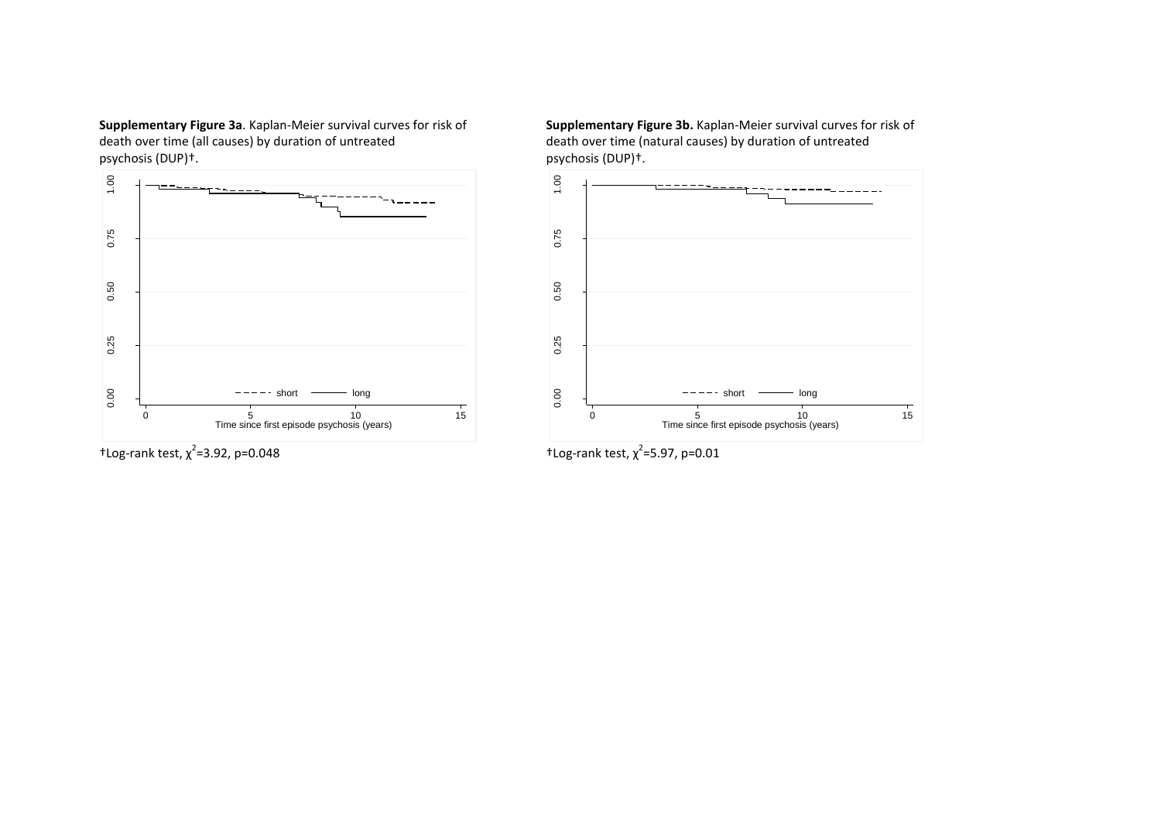**Supplementary Figure 3a**. Kaplan-Meier survival curves for risk of **Supplementary Figure 3b.** Kaplan-Meier survival curves for risk of death over time (natural causes) by duration of untreated death over time (natural cau death over time (all causes) by duration of untreated death over time (natural causes) by duration of untreated<br>psychosis (DUP)+.



 $t$ Log-rank test,  $\chi^2$ =3.92, p=0.048

psychosis (DUP)<sup>+</sup>.



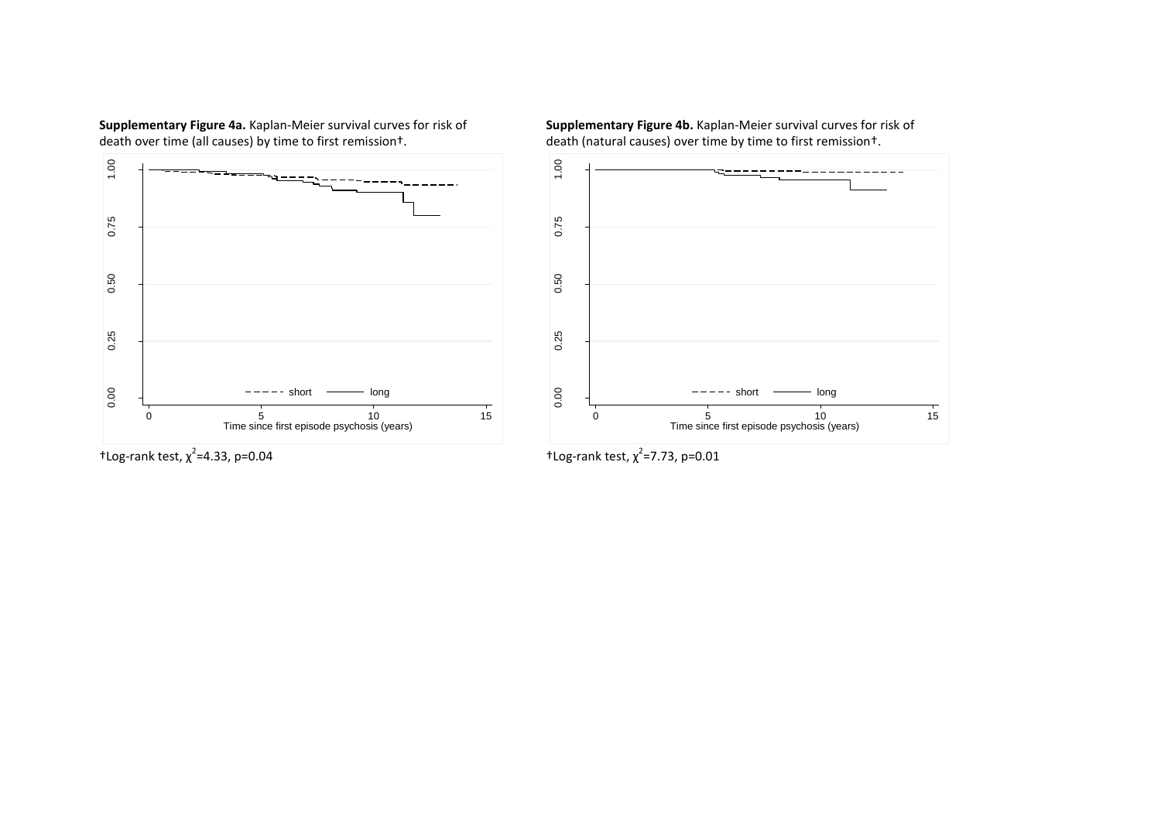**Supplementary Figure 4a.** Kaplan-Meier survival curves for risk of **Supplementary Figure 4b.** Kaplan-Meier survival curves for risk of death (natural causes) over time by time to first remission t.



death (natural causes) over time by time to first remission +.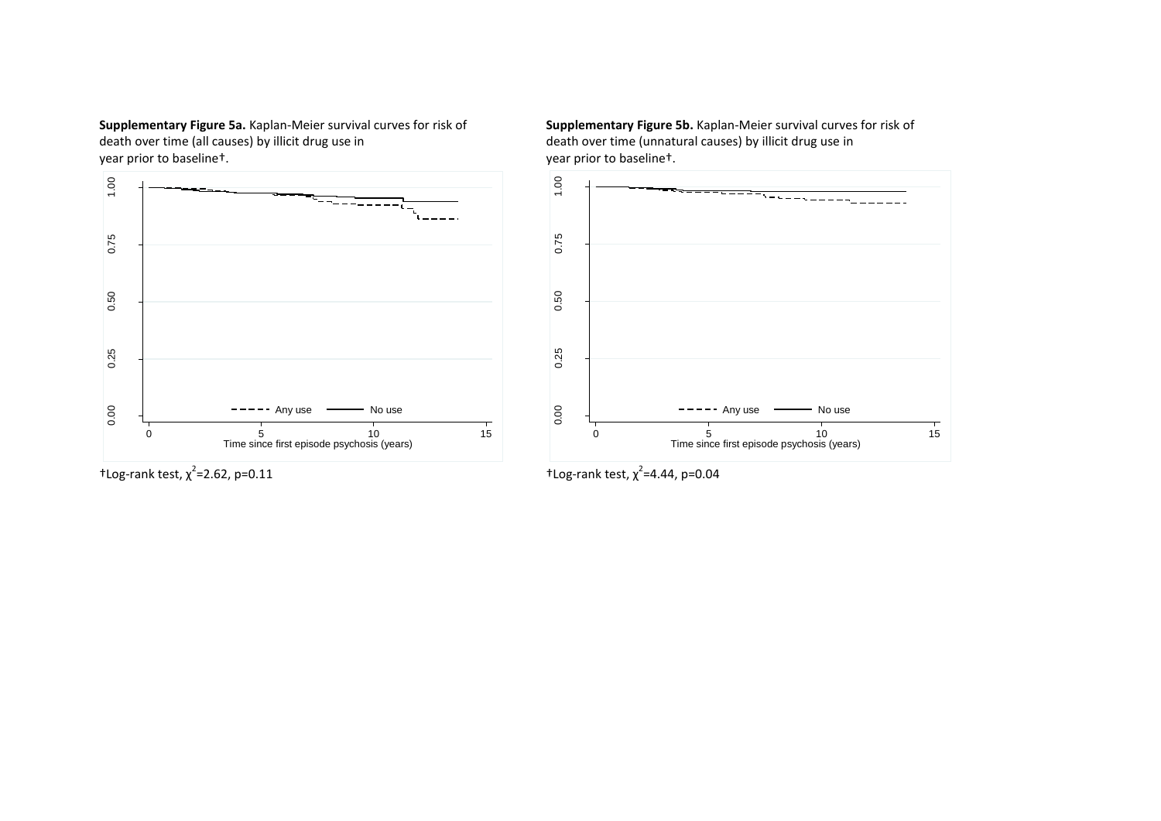year prior to baseline<sup>+</sup>.

![](_page_9_Figure_1.jpeg)

 $\pm$ Log-rank test,  $\chi^2$ =2.62, p=0.11

**Supplementary Figure 5a.** Kaplan-Meier survival curves for risk of **Supplementary Figure 5b.** Kaplan-Meier survival curves for risk of death over time (unnatural causes) by illicit drug use in<br>death over time (unnatural c death over time (unnatural causes) by illicit drug use in year prior to baseline<sup>t</sup>.

![](_page_9_Figure_4.jpeg)

=2.62, p=0.11  $\text{tlog-rank test, } \chi^2$ =4.44, p=0.04